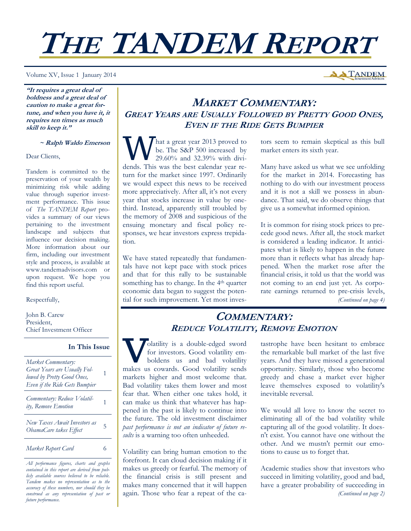# **THE TANDEM REPORT**

Volume XV, Issue 1 January 2014

**A TANDEM** 

**"It requires a great deal of boldness and a great deal of caution to make a great fortune, and when you have it, it requires ten times as much skill to keep it."** 

## **~ Ralph Waldo Emerson**

Dear Clients,

Tandem is committed to the preservation of your wealth by minimizing risk while adding value through superior investment performance. This issue of *The TANDEM Report* provides a summary of our views pertaining to the investment landscape and subjects that influence our decision making. More information about our firm, including our investment style and process, is available at www.tandemadvisors.com or upon request. We hope you find this report useful.

## Respectfully,

John B. Carew President, Chief Investment Officer

## **In This Issue**

| Market Commentary:<br>Great Years are Usually Fol-<br>lowed by Pretty Good Ones,<br>Even if the Ride Gets Bumpier |   |
|-------------------------------------------------------------------------------------------------------------------|---|
| Commentary: Reduce Volatil-<br>ity, Remove Emotion                                                                |   |
| New Taxes Await Investors as<br>ObamaCare takes Effect                                                            | 5 |
| Market Report Card                                                                                                | 6 |
| All performance figures, charts and graphs                                                                        |   |

*All performance figures, charts and graphs contained in this report are derived from publicly available sources believed to be reliable. Tandem makes no representation as to the accuracy of these numbers, nor should they be construed as any representation of past or future performance.* 

# **MARKET COMMENTARY: GREAT YEARS ARE USUALLY FOLLOWED BY PRETTY GOOD ONES, EVEN IF THE RIDE GETS BUMPIER**

W hat a great year 2013 proved to<br>be. The S&P 500 increased by<br>29.60% and 32.39% with dividends. This was the best selected be. The S&P 500 increased by 29.60% and 32.39% with dividends. This was the best calendar year return for the market since 1997. Ordinarily we would expect this news to be received more appreciatively. After all, it's not every year that stocks increase in value by onethird. Instead, apparently still troubled by the memory of 2008 and suspicious of the ensuing monetary and fiscal policy responses, we hear investors express trepidation.

We have stated repeatedly that fundamentals have not kept pace with stock prices and that for this rally to be sustainable something has to change. In the 4<sup>th</sup> quarter economic data began to suggest the potential for such improvement. Yet most investors seem to remain skeptical as this bull market enters its sixth year.

Many have asked us what we see unfolding for the market in 2014. Forecasting has nothing to do with our investment process and it is not a skill we possess in abundance. That said, we do observe things that give us a somewhat informed opinion.

It is common for rising stock prices to precede good news. After all, the stock market is considered a leading indicator. It anticipates what is likely to happen in the future more than it reflects what has already happened. When the market rose after the financial crisis, it told us that the world was not coming to an end just yet. As corporate earnings returned to pre-crisis levels, *(Continued on page 4)* 

## **COMMENTARY: REDUCE VOLATILITY, REMOVE EMOTION**

**REDUCE VOLATILIT**<br>
for investors. Good volatility emboldens us and bad volatility<br>
makes us cowards. Good volatility sends for investors. Good volatility emboldens us and bad volatility markets higher and most welcome that. Bad volatility takes them lower and most fear that. When either one takes hold, it can make us think that whatever has happened in the past is likely to continue into the future. The old investment disclaimer *past performance is not an indicator of future results* is a warning too often unheeded.

Volatility can bring human emotion to the forefront. It can cloud decision making if it makes us greedy or fearful. The memory of the financial crisis is still present and makes many concerned that it will happen again. Those who fear a repeat of the catastrophe have been hesitant to embrace the remarkable bull market of the last five years. And they have missed a generational opportunity. Similarly, those who become greedy and chase a market ever higher leave themselves exposed to volatility's inevitable reversal.

We would all love to know the secret to eliminating all of the bad volatility while capturing all of the good volatility. It doesn't exist. You cannot have one without the other. And we mustn't permit our emotions to cause us to forget that.

Academic studies show that investors who succeed in limiting volatility, good and bad, have a greater probability of succeeding in *(Continued on page 2)*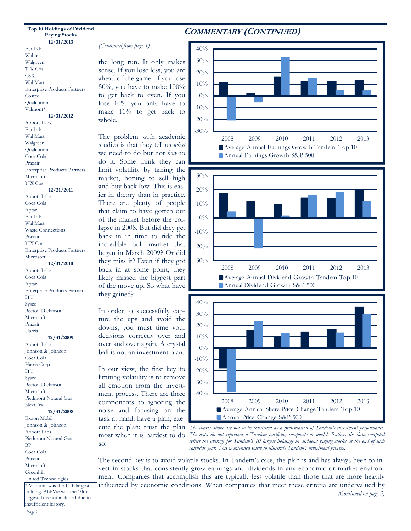#### **12/31/2013 Top 10 Holdings of Dividend Paying Stocks**

Enterprise Products Partners

**12/31/2012** 

EcoLab Wabtec Walgreen TJX Cos **CSX** Wal Mart

Costco Qualcomm Valmont\*

Abbott Labs EcoLab Wal Mart Walgreen Qualcomm Coca Cola Praxair

## **COMMENTARY (CONTINUED)**

*(Continued from page 1)* 

the long run. It only makes sense. If you lose less, you are ahead of the game. If you lose 50%, you have to make 100% to get back to even. If you lose 10% you only have to make 11% to get back to whole.

The problem with academic studies is that they tell us *what* we need to do but not *how* to do it. Some think they can limit volatility by timing the market, hoping to sell high and buy back low. This is easier in theory than in practice. There are plenty of people that claim to have gotten out of the market before the collapse in 2008. But did they get back in in time to ride the incredible bull market that began in March 2009? Or did they miss it? Even if they got back in at some point, they likely missed the biggest part of the move up. So what have they gained?

In order to successfully capture the ups and avoid the downs, you must time your decisions correctly over and over and over again. A crystal ball is not an investment plan.

In our view, the first key to limiting volatility is to remove all emotion from the investment process. There are three components to ignoring the noise and focusing on the task at hand: have a plan; execute the plan; trust the plan so.







most when it is hardest to do *The data do not represent a Tandem portfolio, composite or model. Rather, the data compiled The charts above are not to be construed as a presentation of Tandem's investment performance. reflect the average for Tandem's 10 largest holdings in dividend paying stocks at the end of each calendar year. This is intended solely to illustrate Tandem's investment process.* 

The second key is to avoid volatile stocks. In Tandem's case, the plan is and has always been to invest in stocks that consistently grow earnings and dividends in any economic or market environment. Companies that accomplish this are typically less volatile than those that are more heavily influenced by economic conditions. When companies that meet these criteria are undervalued by *(Continued on page 3)* 

#### **12/31/2011**

Abbott Labs Coca Cola Aptar EcoLab Wal Mart Waste Connections Praxair TJX Cos Enterprise Products Partners Microsoft **12/31/2010**  Abbott Labs Coca Cola Aptar Enterprise Products Partners ITT Sysco Becton Dickinson Microsoft Praxair Harris **12/31/2009**  Abbott Labs Johnson & Johnson Coca Cola Harris Corp **ITT Sysco** Becton Dickinson Microsoft Piedmont Natural Gas NextEra **12/31/2008** 

Exxon Mobil Johnson & Johnson Abbott Labs Piedmont Natural Gas **BP** Coca Cola Praxair Microsoft Greenhill United Technologies \* Valmont was the 11th largest holding. AbbVie was the 10th largest. It is not included due to insufficient history.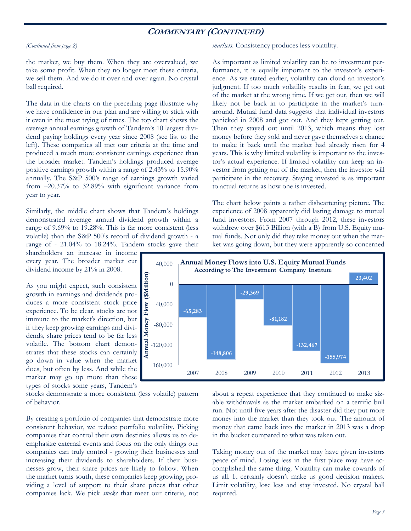## **COMMENTARY (CONTINUED)**

#### *(Continued from page 2)*

the market, we buy them. When they are overvalued, we take some profit. When they no longer meet these criteria, we sell them. And we do it over and over again. No crystal ball required.

The data in the charts on the preceding page illustrate why we have confidence in our plan and are willing to stick with it even in the most trying of times. The top chart shows the average annual earnings growth of Tandem's 10 largest dividend paying holdings every year since 2008 (see list to the left). These companies all met our criteria at the time and produced a much more consistent earnings experience than the broader market. Tandem's holdings produced average positive earnings growth within a range of 2.43% to 15.90% annually. The S&P 500's range of earnings growth varied from –20.37% to 32.89% with significant variance from year to year.

Similarly, the middle chart shows that Tandem's holdings demonstrated average annual dividend growth within a range of 9.69% to 19.28%. This is far more consistent (less volatile) than the S&P 500's record of dividend growth - a range of - 21.04% to 18.24%. Tandem stocks gave their

shareholders an increase in income every year. The broader market cut dividend income by 21% in 2008.

As you might expect, such consistent growth in earnings and dividends produces a more consistent stock price experience. To be clear, stocks are not immune to the market's direction, but if they keep growing earnings and dividends, share prices tend to be far less volatile. The bottom chart demonstrates that these stocks can certainly go down in value when the market does, but often by less. And while the market may go up more than these types of stocks some years, Tandem's

stocks demonstrate a more consistent (less volatile) pattern of behavior.

By creating a portfolio of companies that demonstrate more consistent behavior, we reduce portfolio volatility. Picking companies that control their own destinies allows us to deemphasize external events and focus on the only things our companies can truly control - growing their businesses and increasing their dividends to shareholders. If their businesses grow, their share prices are likely to follow. When the market turns south, these companies keep growing, providing a level of support to their share prices that other companies lack. We pick *stocks* that meet our criteria, not *markets*. Consistency produces less volatility.

As important as limited volatility can be to investment performance, it is equally important to the investor's experience. As we stated earlier, volatility can cloud an investor's judgment. If too much volatility results in fear, we get out of the market at the wrong time. If we get out, then we will likely not be back in to participate in the market's turnaround. Mutual fund data suggests that individual investors panicked in 2008 and got out. And they kept getting out. Then they stayed out until 2013, which means they lost money before they sold and never gave themselves a chance to make it back until the market had already risen for 4 years. This is why limited volatility is important to the investor's actual experience. If limited volatility can keep an investor from getting out of the market, then the investor will participate in the recovery. Staying invested is as important to actual returns as how one is invested.

The chart below paints a rather disheartening picture. The experience of 2008 apparently did lasting damage to mutual fund investors. From 2007 through 2012, these investors withdrew over \$613 Billion (with a B) from U.S. Equity mutual funds. Not only did they take money out when the market was going down, but they were apparently so concerned



about a repeat experience that they continued to make sizable withdrawals as the market embarked on a terrific bull run. Not until five years after the disaster did they put more money into the market than they took out. The amount of money that came back into the market in 2013 was a drop in the bucket compared to what was taken out.

Taking money out of the market may have given investors peace of mind. Losing less in the first place may have accomplished the same thing. Volatility can make cowards of us all. It certainly doesn't make us good decision makers. Limit volatility, lose less and stay invested. No crystal ball required.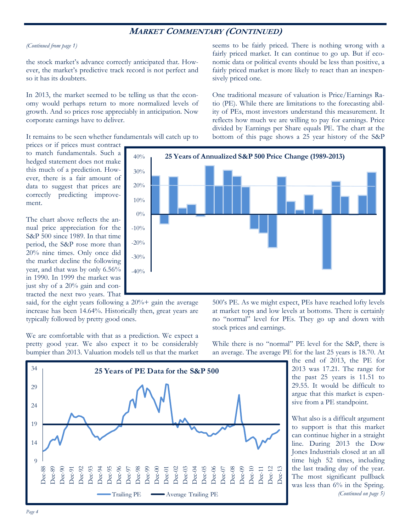## **MARKET COMMENTARY (CONTINUED)**

#### *(Continued from page 1)*

the stock market's advance correctly anticipated that. However, the market's predictive track record is not perfect and so it has its doubters.

In 2013, the market seemed to be telling us that the economy would perhaps return to more normalized levels of growth. And so prices rose appreciably in anticipation. Now corporate earnings have to deliver.

It remains to be seen whether fundamentals will catch up to

seems to be fairly priced. There is nothing wrong with a fairly priced market. It can continue to go up. But if economic data or political events should be less than positive, a fairly priced market is more likely to react than an inexpensively priced one.

One traditional measure of valuation is Price/Earnings Ratio (PE). While there are limitations to the forecasting ability of PEs, most investors understand this measurement. It reflects how much we are willing to pay for earnings. Price divided by Earnings per Share equals PE. The chart at the bottom of this page shows a 25 year history of the S&P

prices or if prices must contract to match fundamentals. Such a hedged statement does not make this much of a prediction. However, there is a fair amount of data to suggest that prices are correctly predicting improvement.

The chart above reflects the annual price appreciation for the S&P 500 since 1989. In that time period, the S&P rose more than 20% nine times. Only once did the market decline the following year, and that was by only 6.56% in 1990. In 1999 the market was just shy of a 20% gain and contracted the next two years. That

said, for the eight years following a  $20\%$  + gain the average increase has been 14.64%. Historically then, great years are typically followed by pretty good ones.

We are comfortable with that as a prediction. We expect a pretty good year. We also expect it to be considerably bumpier than 2013. Valuation models tell us that the market



500's PE. As we might expect, PEs have reached lofty levels at market tops and low levels at bottoms. There is certainly no "normal" level for PEs. They go up and down with stock prices and earnings.

While there is no "normal" PE level for the S&P, there is an average. The average PE for the last 25 years is 18.70. At

> the end of 2013, the PE for 2013 was 17.21. The range for the past 25 years is 11.51 to 29.55. It would be difficult to argue that this market is expensive from a PE standpoint.

> What also is a difficult argument to support is that this market can continue higher in a straight line. During 2013 the Dow Jones Industrials closed at an all time high 52 times, including the last trading day of the year. The most significant pullback was less than 6% in the Spring. *(Continued on page 5)*

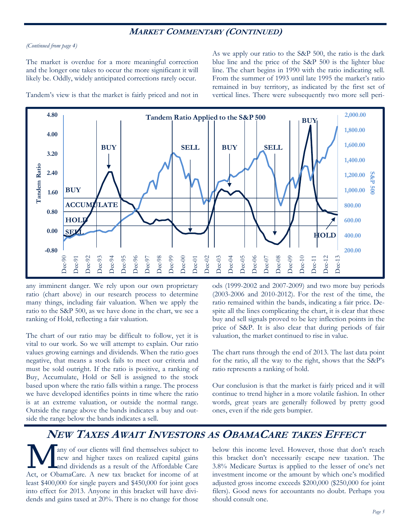## **MARKET COMMENTARY (CONTINUED)**

### *(Continued from page 4)*

The market is overdue for a more meaningful correction and the longer one takes to occur the more significant it will likely be. Oddly, widely anticipated corrections rarely occur.

As we apply our ratio to the S&P 500, the ratio is the dark blue line and the price of the S&P 500 is the lighter blue line. The chart begins in 1990 with the ratio indicating sell. From the summer of 1993 until late 1995 the market's ratio remained in buy territory, as indicated by the first set of vertical lines. There were subsequently two more sell peri-

Tandem's view is that the market is fairly priced and not in



any imminent danger. We rely upon our own proprietary ratio (chart above) in our research process to determine many things, including fair valuation. When we apply the ratio to the S&P 500, as we have done in the chart, we see a ranking of Hold, reflecting a fair valuation.

The chart of our ratio may be difficult to follow, yet it is vital to our work. So we will attempt to explain. Our ratio values growing earnings and dividends. When the ratio goes negative, that means a stock fails to meet our criteria and must be sold outright. If the ratio is positive, a ranking of Buy, Accumulate, Hold or Sell is assigned to the stock based upon where the ratio falls within a range. The process we have developed identifies points in time where the ratio is at an extreme valuation, or outside the normal range. Outside the range above the bands indicates a buy and outside the range below the bands indicates a sell.

ods (1999-2002 and 2007-2009) and two more buy periods (2003-2006 and 2010-2012). For the rest of the time, the ratio remained within the bands, indicating a fair price. Despite all the lines complicating the chart, it is clear that these buy and sell signals proved to be key inflection points in the price of S&P. It is also clear that during periods of fair valuation, the market continued to rise in value.

The chart runs through the end of 2013. The last data point for the ratio, all the way to the right, shows that the S&P's ratio represents a ranking of hold.

Our conclusion is that the market is fairly priced and it will continue to trend higher in a more volatile fashion. In other words, great years are generally followed by pretty good ones, even if the ride gets bumpier.

# **NEW TAXES AWAIT INVESTORS AS OBAMACARE TAKES EFFECT**

any of our clients will find themselves subject to new and higher taxes on realized capital gains and dividends as a result of the Affordable Care Act, or ObamaCare. A new tax bracket for income of at least \$400,000 for single payers and \$450,000 for joint goes into effect for 2013. Anyone in this bracket will have dividends and gains taxed at 20%. There is no change for those

below this income level. However, those that don't reach this bracket don't necessarily escape new taxation. The 3.8% Medicare Surtax is applied to the lesser of one's net investment income or the amount by which one's modified adjusted gross income exceeds \$200,000 (\$250,000 for joint filers). Good news for accountants no doubt. Perhaps you should consult one.